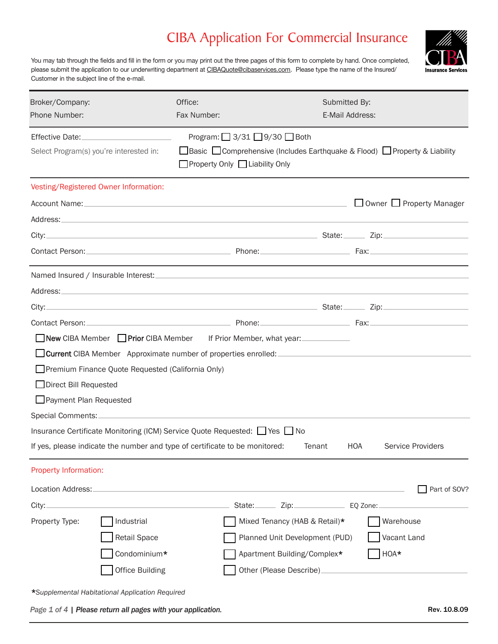You may tab through the fields and fill in the form or you may print out the three pages of this form to complete by hand. Once completed, please submit the application to our underwriting department at CIBAQuote@cibaservices.com. Please type the name of the Insured/ Customer in the subject line of the e-mail.

| Broker/Company:<br>Phone Number: |                                                   | Office:<br>Fax Number:                                                                                                                                                     | Submitted By:<br>E-Mail Address:     |                                      |
|----------------------------------|---------------------------------------------------|----------------------------------------------------------------------------------------------------------------------------------------------------------------------------|--------------------------------------|--------------------------------------|
| Effective Date:                  | Select Program(s) you're interested in:           | Program: $\Box$ 3/31 $\Box$ 9/30 $\Box$ Both<br>□ Basic □ Comprehensive (Includes Earthquake & Flood) □ Property & Liability<br>$\Box$ Property Only $\Box$ Liability Only |                                      |                                      |
|                                  | Vesting/Registered Owner Information:             |                                                                                                                                                                            |                                      |                                      |
|                                  |                                                   |                                                                                                                                                                            |                                      | $\Box$ Owner $\Box$ Property Manager |
|                                  |                                                   |                                                                                                                                                                            |                                      |                                      |
|                                  |                                                   |                                                                                                                                                                            |                                      |                                      |
|                                  |                                                   |                                                                                                                                                                            |                                      |                                      |
|                                  |                                                   |                                                                                                                                                                            |                                      |                                      |
|                                  |                                                   |                                                                                                                                                                            |                                      |                                      |
| City:                            |                                                   |                                                                                                                                                                            |                                      |                                      |
|                                  |                                                   |                                                                                                                                                                            |                                      |                                      |
|                                  |                                                   | ■ New CIBA Member ■ Prior CIBA Member If Prior Member, what year:                                                                                                          |                                      |                                      |
|                                  |                                                   | □ Current CIBA Member Approximate number of properties enrolled:                                                                                                           |                                      |                                      |
|                                  | Premium Finance Quote Requested (California Only) |                                                                                                                                                                            |                                      |                                      |
| Direct Bill Requested            |                                                   |                                                                                                                                                                            |                                      |                                      |
| Payment Plan Requested           |                                                   |                                                                                                                                                                            |                                      |                                      |
| Special Comments:_               |                                                   |                                                                                                                                                                            |                                      |                                      |
|                                  |                                                   | Insurance Certificate Monitoring (ICM) Service Quote Requested: $\Box$ Yes $\Box$ No                                                                                       |                                      |                                      |
|                                  |                                                   | If yes, please indicate the number and type of certificate to be monitored:                                                                                                | Tenant<br><b>HOA</b>                 | Service Providers                    |
| Property Information:            |                                                   |                                                                                                                                                                            |                                      |                                      |
| Location Address:_               |                                                   |                                                                                                                                                                            |                                      | Part of SOV?                         |
| City:                            |                                                   |                                                                                                                                                                            | State: Zip: Zip: EQ Zone:            |                                      |
| Property Type:                   | Industrial                                        |                                                                                                                                                                            | Mixed Tenancy (HAB & Retail)*        | Warehouse                            |
|                                  | Retail Space                                      |                                                                                                                                                                            | Planned Unit Development (PUD)       | Vacant Land                          |
|                                  | Condominium*                                      |                                                                                                                                                                            | Apartment Building/Complex*          | HOA*                                 |
|                                  | <b>Office Building</b>                            |                                                                                                                                                                            | Other (Please Describe)_____________ |                                      |
|                                  |                                                   |                                                                                                                                                                            |                                      |                                      |

\**Supplemental Habitational Application Required*

*Page 1 of 4 | Please return all pages with your application.*

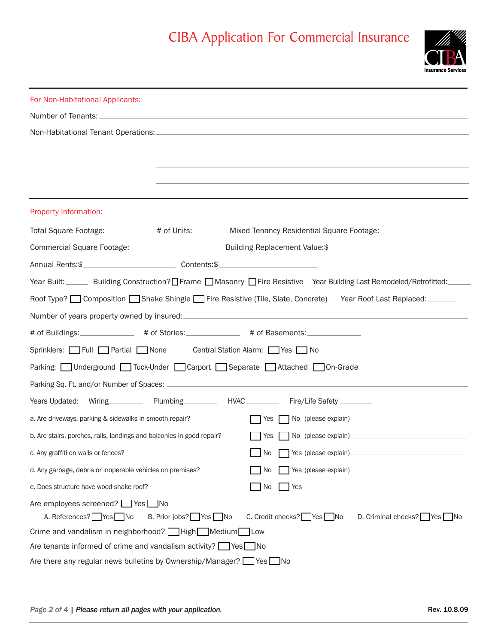

| For Non-Habitational Applicants:                                                                                 |                                                                                                                        |
|------------------------------------------------------------------------------------------------------------------|------------------------------------------------------------------------------------------------------------------------|
|                                                                                                                  |                                                                                                                        |
|                                                                                                                  |                                                                                                                        |
|                                                                                                                  |                                                                                                                        |
|                                                                                                                  |                                                                                                                        |
|                                                                                                                  |                                                                                                                        |
|                                                                                                                  |                                                                                                                        |
| Property Information:                                                                                            |                                                                                                                        |
| Total Square Footage: _____________ # of Units: __________ Mixed Tenancy Residential Square Footage: ___________ |                                                                                                                        |
| Commercial Square Footage: Commercial Square Footage: Commercial Square Footage:                                 |                                                                                                                        |
| Annual Rents:\$                                                                                                  |                                                                                                                        |
|                                                                                                                  | Year Built: ______ Building Construction? Frame ■ Masonry ■ Fire Resistive Year Building Last Remodeled/Retrofitted: _ |
|                                                                                                                  | Roof Type? Composition Shake Shingle Fire Resistive (Tile, Slate, Concrete) Year Roof Last Replaced:                   |
|                                                                                                                  |                                                                                                                        |
| # of Buildings: ________________ # of Stories: ______________ # of Basements: _____________                      |                                                                                                                        |
| Sprinklers: Full Partial None Central Station Alarm: Yes No                                                      |                                                                                                                        |
| Parking: Underground Tuck-Under Carport Separate Attached On-Grade                                               |                                                                                                                        |
|                                                                                                                  |                                                                                                                        |
| Years Updated: Wiring Plumbing HVAC Fire/Life Safety                                                             |                                                                                                                        |
| a. Are driveways, parking & sidewalks in smooth repair?                                                          | Yes I                                                                                                                  |
| b. Are stairs, porches, rails, landings and balconies in good repair?                                            | Yes No (please explain)                                                                                                |
| c. Any graffiti on walls or fences?                                                                              | No Yes (please explain)                                                                                                |
| d. Any garbage, debris or inoperable vehicles on premises?                                                       | No.                                                                                                                    |
| e. Does structure have wood shake roof?                                                                          | No<br>Yes                                                                                                              |
| Are employees screened? Ses No<br>A. References? Yes No<br>B. Prior jobs? Yes No                                 | C. Credit checks? Ves No<br>D. Criminal checks? Yes No                                                                 |
| Crime and vandalism in neighborhood? High Medium Low                                                             |                                                                                                                        |
| Are tenants informed of crime and vandalism activity? $\Box$ Yes $\Box$ No                                       |                                                                                                                        |
| Are there any regular news bulletins by Ownership/Manager? Ves No                                                |                                                                                                                        |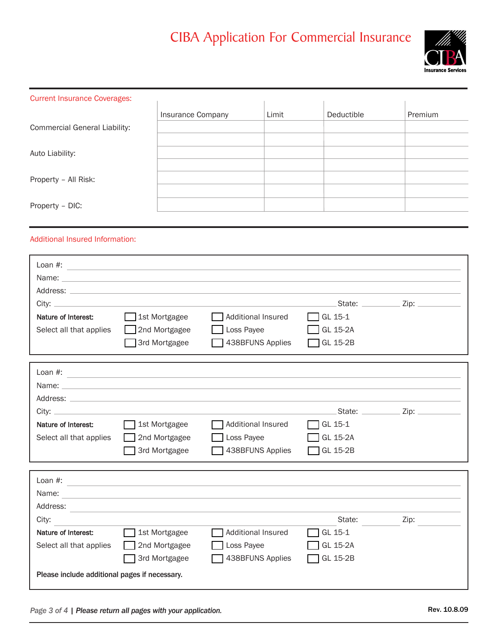

| <b>Current Insurance Coverages:</b>  |                   |       |            |         |
|--------------------------------------|-------------------|-------|------------|---------|
|                                      | Insurance Company | Limit | Deductible | Premium |
| <b>Commercial General Liability:</b> |                   |       |            |         |
|                                      |                   |       |            |         |
| Auto Liability:                      |                   |       |            |         |
|                                      |                   |       |            |         |
| Property - All Risk:                 |                   |       |            |         |
|                                      |                   |       |            |         |
| Property - DIC:                      |                   |       |            |         |

#### Additional Insured Information:

| Loan $#$ :              |               |                    |                 |                    |
|-------------------------|---------------|--------------------|-----------------|--------------------|
| Name:                   |               |                    |                 |                    |
| Address:                |               |                    |                 |                    |
| City: $\_\$             |               |                    | State: _____    | . Zip: ___________ |
| Nature of Interest:     | 1st Mortgagee | Additional Insured | $\Box$ GL 15-1  |                    |
| Select all that applies | 2nd Mortgagee | $\Box$ Loss Payee  | $\Box$ GL 15-2A |                    |
|                         | 3rd Mortgagee | 438BFUNS Applies   | $\Box$ GL 15-2B |                    |
|                         |               |                    |                 |                    |

| Loan $#$ :              |               |                    |                 |      |
|-------------------------|---------------|--------------------|-----------------|------|
| Name:                   |               |                    |                 |      |
| Address:                |               |                    |                 |      |
| City: $_{-}$            |               |                    | State:          | Zip: |
| Nature of Interest:     | 1st Mortgagee | Additional Insured | $\Box$ GL 15-1  |      |
| Select all that applies | 2nd Mortgagee | Loss Payee         | $\Box$ GL 15-2A |      |
|                         | 3rd Mortgagee | 1438BFUNS Applies  | $\Box$ GL 15-2B |      |

| Loan $#$ :                                    |               |                    |                 |      |
|-----------------------------------------------|---------------|--------------------|-----------------|------|
| Name:                                         |               |                    |                 |      |
| Address:                                      |               |                    |                 |      |
| City:                                         |               |                    | State:          | Zip: |
| Nature of Interest:                           | 1st Mortgagee | Additional Insured | $\Box$ GL 15-1  |      |
| Select all that applies                       | 2nd Mortgagee | Loss Payee         | $\Box$ GL 15-2A |      |
|                                               | 3rd Mortgagee | 438BFUNS Applies   | $\Box$ GL 15-2B |      |
| Please include additional pages if necessary. |               |                    |                 |      |